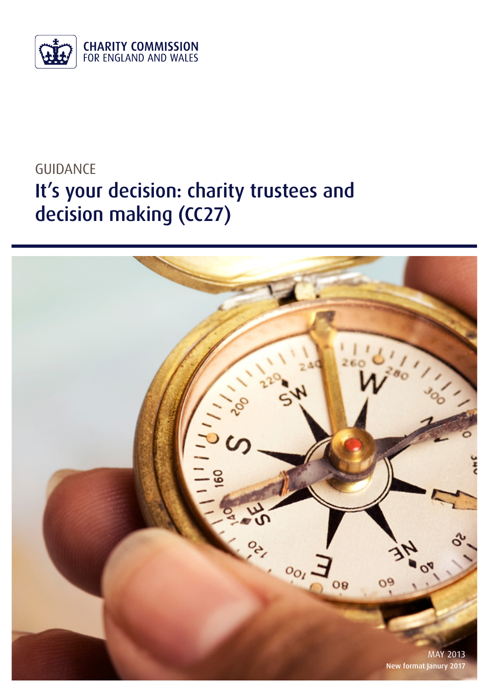

# GUIDANCE It's your decision: charity trustees and decision making (CC27)

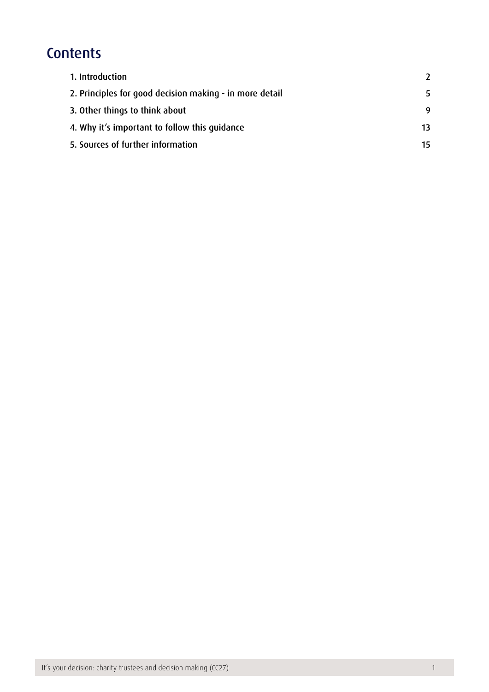## **Contents**

| 1. Introduction                                         |    |
|---------------------------------------------------------|----|
| 2. Principles for good decision making - in more detail | 5  |
| 3. Other things to think about                          | 9  |
| 4. Why it's important to follow this quidance           | 13 |
| 5. Sources of further information                       | 15 |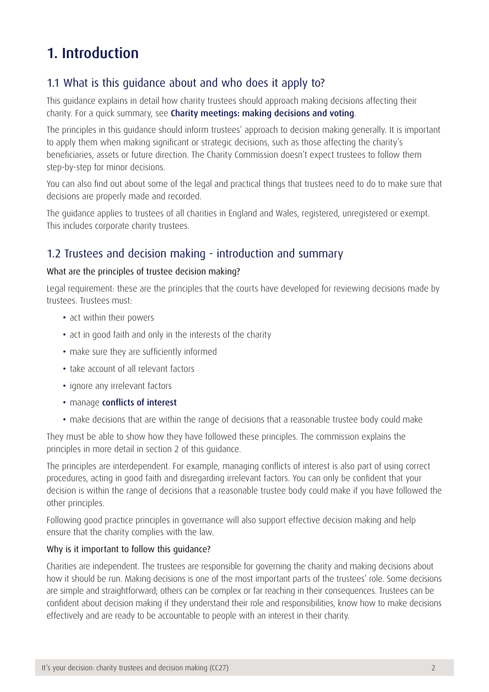### <span id="page-2-0"></span>1. Introduction

#### 1.1 What is this guidance about and who does it apply to?

This guidance explains in detail how charity trustees should approach making decisions affecting their charity. For a quick summary, see [Charity meetings: making decisions and voting](https://www.gov.uk/charity-meetings-making-decisions-and-voting/).

The principles in this guidance should inform trustees' approach to decision making generally. It is important to apply them when making significant or strategic decisions, such as those affecting the charity's beneficiaries, assets or future direction. The Charity Commission doesn't expect trustees to follow them step-by-step for minor decisions.

You can also find out about some of the legal and practical things that trustees need to do to make sure that decisions are properly made and recorded.

The guidance applies to trustees of all charities in England and Wales, registered, unregistered or exempt. This includes corporate charity trustees.

#### 1.2 Trustees and decision making - introduction and summary

#### What are the principles of trustee decision making?

Legal requirement: these are the principles that the courts have developed for reviewing decisions made by trustees. Trustees must:

- act within their powers
- act in good faith and only in the interests of the charity
- make sure they are sufficiently informed
- take account of all relevant factors
- ignore any irrelevant factors
- manage [conflicts of interest](https://www.gov.uk/manage-a-conflict-of-interest-in-your-charity)
- make decisions that are within the range of decisions that a reasonable trustee body could make

They must be able to show how they have followed these principles. The commission explains the principles in more detail in section 2 of this guidance.

The principles are interdependent. For example, managing conflicts of interest is also part of using correct procedures, acting in good faith and disregarding irrelevant factors. You can only be confident that your decision is within the range of decisions that a reasonable trustee body could make if you have followed the other principles.

Following good practice principles in governance will also support effective decision making and help ensure that the charity complies with the law.

#### Why is it important to follow this guidance?

Charities are independent. The trustees are responsible for governing the charity and making decisions about how it should be run. Making decisions is one of the most important parts of the trustees' role. Some decisions are simple and straightforward; others can be complex or far reaching in their consequences. Trustees can be confident about decision making if they understand their role and responsibilities, know how to make decisions effectively and are ready to be accountable to people with an interest in their charity.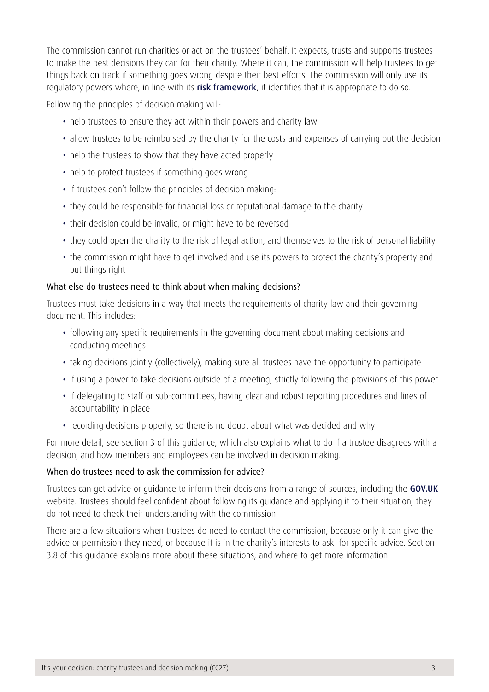The commission cannot run charities or act on the trustees' behalf. It expects, trusts and supports trustees to make the best decisions they can for their charity. Where it can, the commission will help trustees to get things back on track if something goes wrong despite their best efforts. The commission will only use its regulatory powers where, in line with its [risk framework](https://www.gov.uk/government/publications/risk-framework-charity-commission), it identifies that it is appropriate to do so.

Following the principles of decision making will:

- help trustees to ensure they act within their powers and charity law
- allow trustees to be reimbursed by the charity for the costs and expenses of carrying out the decision
- help the trustees to show that they have acted properly
- help to protect trustees if something goes wrong
- If trustees don't follow the principles of decision making:
- they could be responsible for financial loss or reputational damage to the charity
- their decision could be invalid, or might have to be reversed
- they could open the charity to the risk of legal action, and themselves to the risk of personal liability
- the commission might have to get involved and use its powers to protect the charity's property and put things right

#### What else do trustees need to think about when making decisions?

Trustees must take decisions in a way that meets the requirements of charity law and their governing document. This includes:

- following any specific requirements in the governing document about making decisions and conducting meetings
- taking decisions jointly (collectively), making sure all trustees have the opportunity to participate
- if using a power to take decisions outside of a meeting, strictly following the provisions of this power
- if delegating to staff or sub-committees, having clear and robust reporting procedures and lines of accountability in place
- recording decisions properly, so there is no doubt about what was decided and why

For more detail, see section 3 of this guidance, which also explains what to do if a trustee disagrees with a decision, and how members and employees can be involved in decision making.

#### When do trustees need to ask the commission for advice?

Trustees can get advice or guidance to inform their decisions from a range of sources, including the [GOV.UK](https://www.gov.uk/government/organisations/charity-commission) website. Trustees should feel confident about following its guidance and applying it to their situation; they do not need to check their understanding with the commission.

There are a few situations when trustees do need to contact the commission, because only it can give the advice or permission they need, or because it is in the charity's interests to ask for specific advice. Section 3.8 of this guidance explains more about these situations, and where to get more information.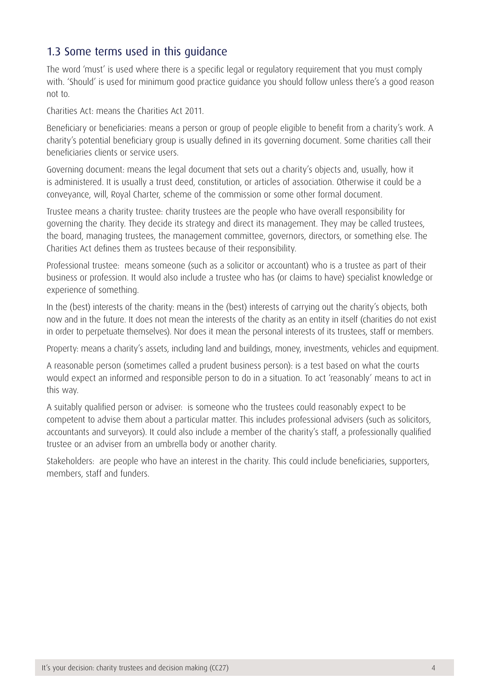#### 1.3 Some terms used in this guidance

The word 'must' is used where there is a specific legal or regulatory requirement that you must comply with. 'Should' is used for minimum good practice guidance you should follow unless there's a good reason not to.

Charities Act: means the Charities Act 2011.

Beneficiary or beneficiaries: means a person or group of people eligible to benefit from a charity's work. A charity's potential beneficiary group is usually defined in its governing document. Some charities call their beneficiaries clients or service users.

Governing document: means the legal document that sets out a charity's objects and, usually, how it is administered. It is usually a trust deed, constitution, or articles of association. Otherwise it could be a conveyance, will, Royal Charter, scheme of the commission or some other formal document.

Trustee means a charity trustee: charity trustees are the people who have overall responsibility for governing the charity. They decide its strategy and direct its management. They may be called trustees, the board, managing trustees, the management committee, governors, directors, or something else. The Charities Act defines them as trustees because of their responsibility.

Professional trustee: means someone (such as a solicitor or accountant) who is a trustee as part of their business or profession. It would also include a trustee who has (or claims to have) specialist knowledge or experience of something.

In the (best) interests of the charity: means in the (best) interests of carrying out the charity's objects, both now and in the future. It does not mean the interests of the charity as an entity in itself (charities do not exist in order to perpetuate themselves). Nor does it mean the personal interests of its trustees, staff or members.

Property: means a charity's assets, including land and buildings, money, investments, vehicles and equipment.

A reasonable person (sometimes called a prudent business person): is a test based on what the courts would expect an informed and responsible person to do in a situation. To act 'reasonably' means to act in this way.

A suitably qualified person or adviser: is someone who the trustees could reasonably expect to be competent to advise them about a particular matter. This includes professional advisers (such as solicitors, accountants and surveyors). It could also include a member of the charity's staff, a professionally qualified trustee or an adviser from an umbrella body or another charity.

Stakeholders: are people who have an interest in the charity. This could include beneficiaries, supporters, members, staff and funders.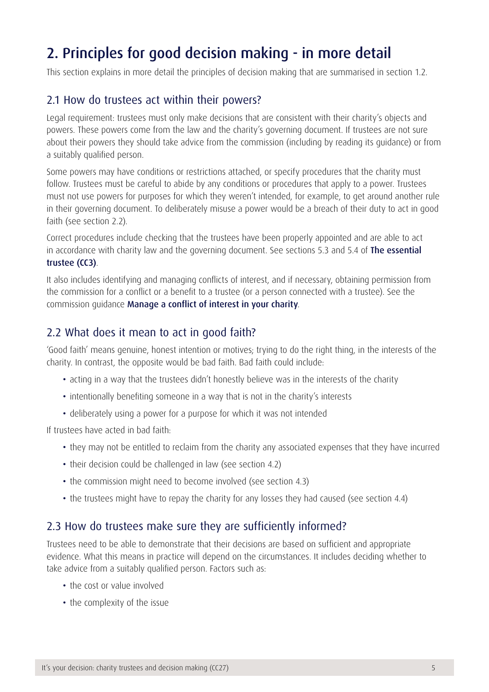## <span id="page-5-0"></span>2. Principles for good decision making - in more detail

This section explains in more detail the principles of decision making that are summarised in section 1.2.

#### 2.1 How do trustees act within their powers?

Legal requirement: trustees must only make decisions that are consistent with their charity's objects and powers. These powers come from the law and the charity's governing document. If trustees are not sure about their powers they should take advice from the commission (including by reading its guidance) or from a suitably qualified person.

Some powers may have conditions or restrictions attached, or specify procedures that the charity must follow. Trustees must be careful to abide by any conditions or procedures that apply to a power. Trustees must not use powers for purposes for which they weren't intended, for example, to get around another rule in their governing document. To deliberately misuse a power would be a breach of their duty to act in good faith (see section 2.2).

Correct procedures include checking that the trustees have been properly appointed and are able to act in accordance with charity law and the governing document. See sections 5.3 and 5.4 of The essential [trustee \(CC3\)](https://www.gov.uk/government/publications/the-essential-trustee-what-you-need-to-know-cc3).

It also includes identifying and managing conflicts of interest, and if necessary, obtaining permission from the commission for a conflict or a benefit to a trustee (or a person connected with a trustee). See the commission guidance [Manage a conflict of interest in your charity](https://www.gov.uk/manage-a-conflict-of-interest-in-your-charity).

#### 2.2 What does it mean to act in good faith?

'Good faith' means genuine, honest intention or motives; trying to do the right thing, in the interests of the charity. In contrast, the opposite would be bad faith. Bad faith could include:

- acting in a way that the trustees didn't honestly believe was in the interests of the charity
- intentionally benefiting someone in a way that is not in the charity's interests
- deliberately using a power for a purpose for which it was not intended

If trustees have acted in bad faith:

- they may not be entitled to reclaim from the charity any associated expenses that they have incurred
- their decision could be challenged in law (see section 4.2)
- the commission might need to become involved (see section 4.3)
- the trustees might have to repay the charity for any losses they had caused (see section 4.4)

#### 2.3 How do trustees make sure they are sufficiently informed?

Trustees need to be able to demonstrate that their decisions are based on sufficient and appropriate evidence. What this means in practice will depend on the circumstances. It includes deciding whether to take advice from a suitably qualified person. Factors such as:

- the cost or value involved
- the complexity of the issue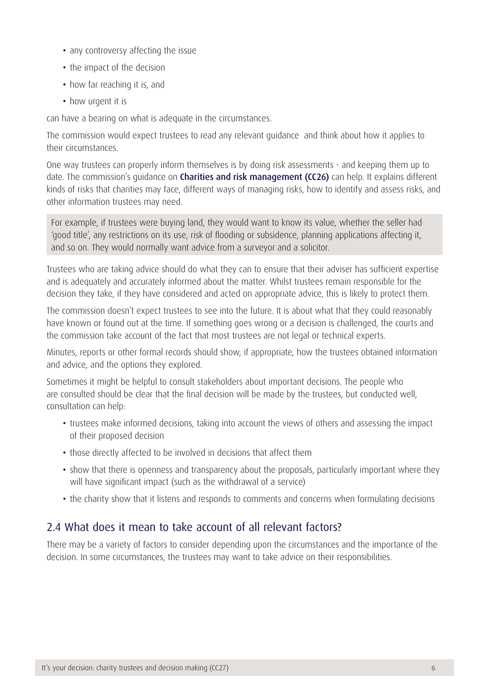- any controversy affecting the issue
- the impact of the decision
- how far reaching it is, and
- how urgent it is

can have a bearing on what is adequate in the circumstances.

The commission would expect trustees to read any relevant guidance and think about how it applies to their circumstances.

One way trustees can properly inform themselves is by doing risk assessments - and keeping them up to date. The commission's quidance on **[Charities and risk management \(CC26\)](https://www.gov.uk/government/publications/charities-and-risk-management-cc26)** can help. It explains different kinds of risks that charities may face, different ways of managing risks, how to identify and assess risks, and other information trustees may need.

For example, if trustees were buying land, they would want to know its value, whether the seller had 'good title', any restrictions on its use, risk of flooding or subsidence, planning applications affecting it, and so on. They would normally want advice from a surveyor and a solicitor.

Trustees who are taking advice should do what they can to ensure that their adviser has sufficient expertise and is adequately and accurately informed about the matter. Whilst trustees remain responsible for the decision they take, if they have considered and acted on appropriate advice, this is likely to protect them.

The commission doesn't expect trustees to see into the future. It is about what that they could reasonably have known or found out at the time. If something goes wrong or a decision is challenged, the courts and the commission take account of the fact that most trustees are not legal or technical experts.

Minutes, reports or other formal records should show, if appropriate, how the trustees obtained information and advice, and the options they explored.

Sometimes it might be helpful to consult stakeholders about important decisions. The people who are consulted should be clear that the final decision will be made by the trustees, but conducted well, consultation can help:

- trustees make informed decisions, taking into account the views of others and assessing the impact of their proposed decision
- those directly affected to be involved in decisions that affect them
- show that there is openness and transparency about the proposals, particularly important where they will have significant impact (such as the withdrawal of a service)
- the charity show that it listens and responds to comments and concerns when formulating decisions

#### 2.4 What does it mean to take account of all relevant factors?

There may be a variety of factors to consider depending upon the circumstances and the importance of the decision. In some circumstances, the trustees may want to take advice on their responsibilities.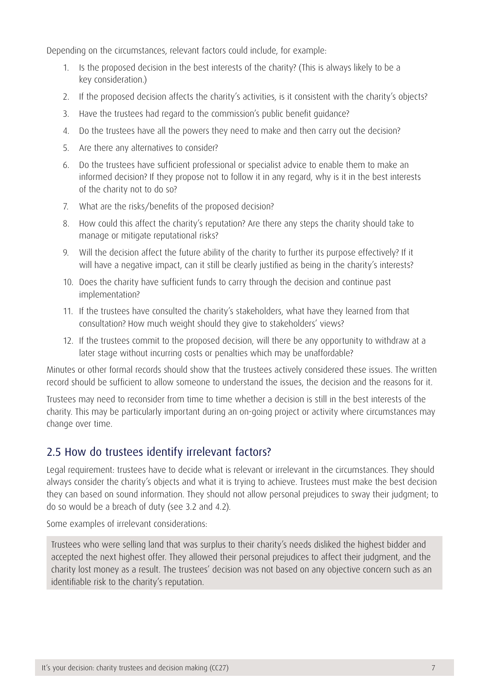Depending on the circumstances, relevant factors could include, for example:

- 1. Is the proposed decision in the best interests of the charity? (This is always likely to be a key consideration.)
- 2. If the proposed decision affects the charity's activities, is it consistent with the charity's objects?
- 3. Have the trustees had regard to the commission's [public benefit guidance](https://www.gov.uk/public-benefit-rules-for-charities)?
- 4. Do the trustees have all the powers they need to make and then carry out the decision?
- 5. Are there any alternatives to consider?
- 6. Do the trustees have sufficient professional or specialist advice to enable them to make an informed decision? If they propose not to follow it in any regard, why is it in the best interests of the charity not to do so?
- 7. What are the risks/benefits of the proposed decision?
- 8. How could this affect the charity's reputation? Are there any steps the charity should take to manage or mitigate reputational risks?
- 9. Will the decision affect the future ability of the charity to further its purpose effectively? If it will have a negative impact, can it still be clearly justified as being in the charity's interests?
- 10. Does the charity have sufficient funds to carry through the decision and continue past implementation?
- 11. If the trustees have consulted the charity's stakeholders, what have they learned from that consultation? How much weight should they give to stakeholders' views?
- 12. If the trustees commit to the proposed decision, will there be any opportunity to withdraw at a later stage without incurring costs or penalties which may be unaffordable?

Minutes or other formal records should show that the trustees actively considered these issues. The written record should be sufficient to allow someone to understand the issues, the decision and the reasons for it.

Trustees may need to reconsider from time to time whether a decision is still in the best interests of the charity. This may be particularly important during an on-going project or activity where circumstances may change over time.

#### 2.5 How do trustees identify irrelevant factors?

Legal requirement: trustees have to decide what is relevant or irrelevant in the circumstances. They should always consider the charity's objects and what it is trying to achieve. Trustees must make the best decision they can based on sound information. They should not allow personal prejudices to sway their judgment; to do so would be a breach of duty (see 3.2 and 4.2).

Some examples of irrelevant considerations:

Trustees who were selling land that was surplus to their charity's needs disliked the highest bidder and accepted the next highest offer. They allowed their personal prejudices to affect their judgment, and the charity lost money as a result. The trustees' decision was not based on any objective concern such as an identifiable risk to the charity's reputation.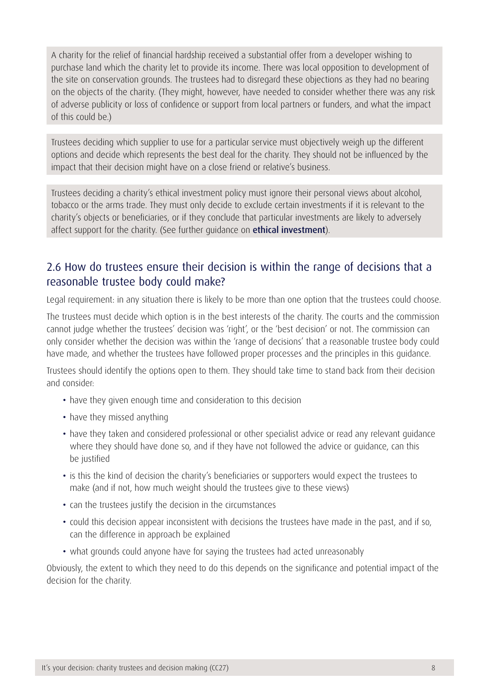A charity for the relief of financial hardship received a substantial offer from a developer wishing to purchase land which the charity let to provide its income. There was local opposition to development of the site on conservation grounds. The trustees had to disregard these objections as they had no bearing on the objects of the charity. (They might, however, have needed to consider whether there was any risk of adverse publicity or loss of confidence or support from local partners or funders, and what the impact of this could be.)

Trustees deciding which supplier to use for a particular service must objectively weigh up the different options and decide which represents the best deal for the charity. They should not be influenced by the impact that their decision might have on a close friend or relative's business.

Trustees deciding a charity's ethical investment policy must ignore their personal views about alcohol, tobacco or the arms trade. They must only decide to exclude certain investments if it is relevant to the charity's objects or beneficiaries, or if they conclude that particular investments are likely to adversely affect support for the charity. (See further quidance on **[ethical investment](https://www.gov.uk/government/publications/charities-and-investment-matters-a-guide-for-trustees-cc14)**).

#### 2.6 How do trustees ensure their decision is within the range of decisions that a reasonable trustee body could make?

Legal requirement: in any situation there is likely to be more than one option that the trustees could choose.

The trustees must decide which option is in the best interests of the charity. The courts and the commission cannot judge whether the trustees' decision was 'right', or the 'best decision' or not. The commission can only consider whether the decision was within the 'range of decisions' that a reasonable trustee body could have made, and whether the trustees have followed proper processes and the principles in this guidance.

Trustees should identify the options open to them. They should take time to stand back from their decision and consider:

- have they given enough time and consideration to this decision
- have they missed anything
- have they taken and considered professional or other specialist advice or read any relevant quidance where they should have done so, and if they have not followed the advice or guidance, can this be justified
- is this the kind of decision the charity's beneficiaries or supporters would expect the trustees to make (and if not, how much weight should the trustees give to these views)
- can the trustees justify the decision in the circumstances
- could this decision appear inconsistent with decisions the trustees have made in the past, and if so, can the difference in approach be explained
- what grounds could anyone have for saying the trustees had acted unreasonably

Obviously, the extent to which they need to do this depends on the significance and potential impact of the decision for the charity.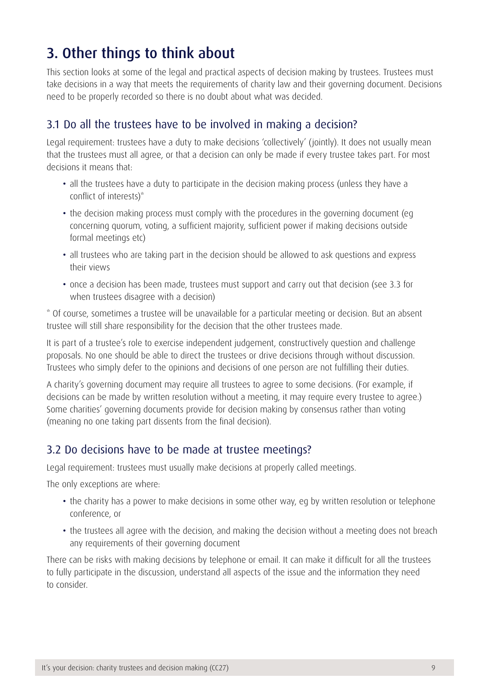## <span id="page-9-0"></span>3. Other things to think about

This section looks at some of the legal and practical aspects of decision making by trustees. Trustees must take decisions in a way that meets the requirements of charity law and their governing document. Decisions need to be properly recorded so there is no doubt about what was decided.

#### 3.1 Do all the trustees have to be involved in making a decision?

Legal requirement: trustees have a duty to make decisions 'collectively' (jointly). It does not usually mean that the trustees must all agree, or that a decision can only be made if every trustee takes part. For most decisions it means that:

- all the trustees have a duty to participate in the decision making process (unless they have a conflict of interests)\*
- the decision making process must comply with the procedures in the governing document (eg concerning quorum, voting, a sufficient majority, sufficient power if making decisions outside formal meetings etc)
- all trustees who are taking part in the decision should be allowed to ask questions and express their views
- once a decision has been made, trustees must support and carry out that decision (see 3.3 for when trustees disagree with a decision)

\* Of course, sometimes a trustee will be unavailable for a particular meeting or decision. But an absent trustee will still share responsibility for the decision that the other trustees made.

It is part of a trustee's role to exercise independent judgement, constructively question and challenge proposals. No one should be able to direct the trustees or drive decisions through without discussion. Trustees who simply defer to the opinions and decisions of one person are not fulfilling their duties.

A charity's governing document may require all trustees to agree to some decisions. (For example, if decisions can be made by written resolution without a meeting, it may require every trustee to agree.) Some charities' governing documents provide for decision making by consensus rather than voting (meaning no one taking part dissents from the final decision).

#### 3.2 Do decisions have to be made at trustee meetings?

Legal requirement: trustees must usually make decisions at properly called meetings.

The only exceptions are where:

- the charity has a power to make decisions in some other way, eq by written resolution or telephone conference, or
- the trustees all agree with the decision, and making the decision without a meeting does not breach any requirements of their governing document

There can be risks with making decisions by telephone or email. It can make it difficult for all the trustees to fully participate in the discussion, understand all aspects of the issue and the information they need to consider.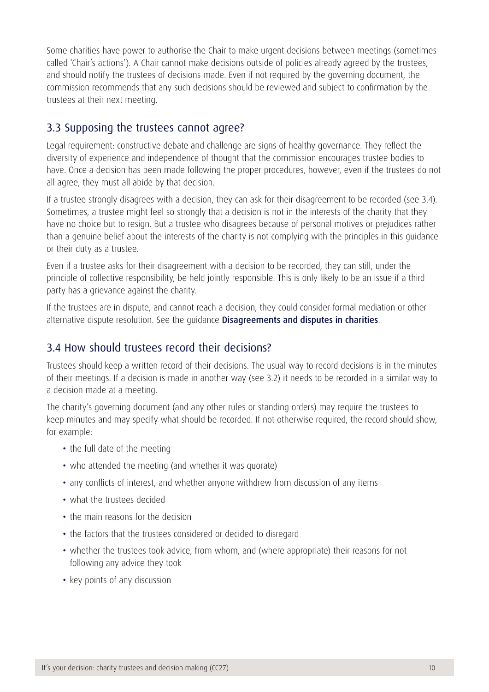Some charities have power to authorise the Chair to make urgent decisions between meetings (sometimes called 'Chair's actions'). A Chair cannot make decisions outside of policies already agreed by the trustees, and should notify the trustees of decisions made. Even if not required by the governing document, the commission recommends that any such decisions should be reviewed and subject to confirmation by the trustees at their next meeting.

#### 3.3 Supposing the trustees cannot agree?

Legal requirement: constructive debate and challenge are signs of healthy governance. They reflect the diversity of experience and independence of thought that the commission encourages trustee bodies to have. Once a decision has been made following the proper procedures, however, even if the trustees do not all agree, they must all abide by that decision.

If a trustee strongly disagrees with a decision, they can ask for their disagreement to be recorded (see 3.4). Sometimes, a trustee might feel so strongly that a decision is not in the interests of the charity that they have no choice but to resign. But a trustee who disagrees because of personal motives or prejudices rather than a genuine belief about the interests of the charity is not complying with the principles in this guidance or their duty as a trustee.

Even if a trustee asks for their disagreement with a decision to be recorded, they can still, under the principle of collective responsibility, be held jointly responsible. This is only likely to be an issue if a third party has a grievance against the charity.

If the trustees are in dispute, and cannot reach a decision, they could consider formal mediation or other alternative dispute resolution. See the guidance [Disagreements and disputes in charities](https://www.gov.uk/disagreements-and-disputes-in-charities).

#### 3.4 How should trustees record their decisions?

Trustees should keep a written record of their decisions. The usual way to record decisions is in the minutes of their meetings. If a decision is made in another way (see 3.2) it needs to be recorded in a similar way to a decision made at a meeting.

The charity's governing document (and any other rules or standing orders) may require the trustees to keep minutes and may specify what should be recorded. If not otherwise required, the record should show, for example:

- the full date of the meeting
- who attended the meeting (and whether it was quorate)
- any conflicts of interest, and whether anyone withdrew from discussion of any items
- what the trustees decided
- the main reasons for the decision
- the factors that the trustees considered or decided to disregard
- whether the trustees took advice, from whom, and (where appropriate) their reasons for not following any advice they took
- key points of any discussion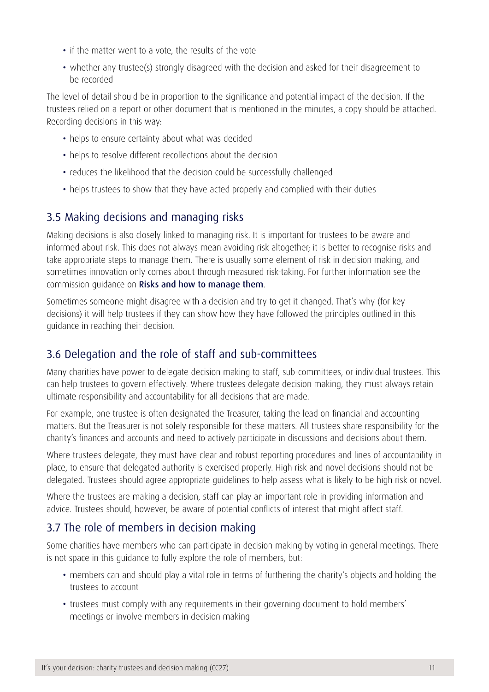- if the matter went to a vote, the results of the vote
- whether any trustee(s) strongly disagreed with the decision and asked for their disagreement to be recorded

The level of detail should be in proportion to the significance and potential impact of the decision. If the trustees relied on a report or other document that is mentioned in the minutes, a copy should be attached. Recording decisions in this way:

- helps to ensure certainty about what was decided
- helps to resolve different recollections about the decision
- reduces the likelihood that the decision could be successfully challenged
- helps trustees to show that they have acted properly and complied with their duties

### 3.5 Making decisions and managing risks

Making decisions is also closely linked to managing risk. It is important for trustees to be aware and informed about risk. This does not always mean avoiding risk altogether; it is better to recognise risks and take appropriate steps to manage them. There is usually some element of risk in decision making, and sometimes innovation only comes about through measured risk-taking. For further information see the commission guidance on [Risks and how to manage them](https://www.gov.uk/how-to-manage-risks-in-your-charity).

Sometimes someone might disagree with a decision and try to get it changed. That's why (for key decisions) it will help trustees if they can show how they have followed the principles outlined in this guidance in reaching their decision.

### 3.6 Delegation and the role of staff and sub-committees

Many charities have power to delegate decision making to staff, sub-committees, or individual trustees. This can help trustees to govern effectively. Where trustees delegate decision making, they must always retain ultimate responsibility and accountability for all decisions that are made.

For example, one trustee is often designated the Treasurer, taking the lead on financial and accounting matters. But the Treasurer is not solely responsible for these matters. All trustees share responsibility for the charity's finances and accounts and need to actively participate in discussions and decisions about them.

Where trustees delegate, they must have clear and robust reporting procedures and lines of accountability in place, to ensure that delegated authority is exercised properly. High risk and novel decisions should not be delegated. Trustees should agree appropriate guidelines to help assess what is likely to be high risk or novel.

Where the trustees are making a decision, staff can play an important role in providing information and advice. Trustees should, however, be aware of potential conflicts of interest that might affect staff.

### 3.7 The role of members in decision making

Some charities have members who can participate in decision making by voting in general meetings. There is not space in this guidance to fully explore the role of members, but:

- members can and should play a vital role in terms of furthering the charity's objects and holding the trustees to account
- trustees must comply with any requirements in their governing document to hold members' meetings or involve members in decision making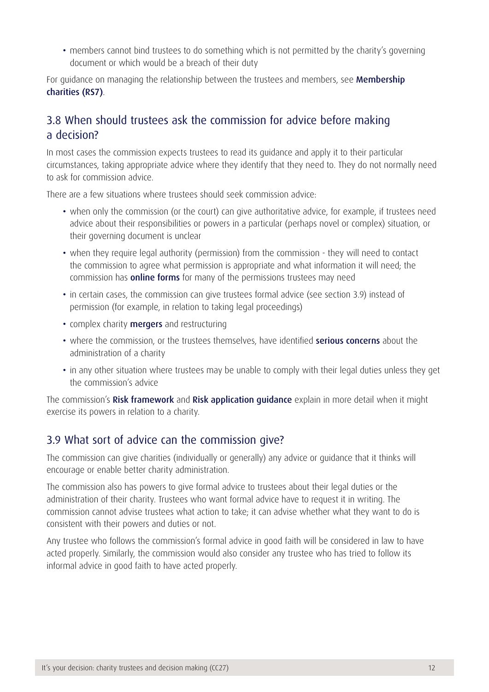• members cannot bind trustees to do something which is not permitted by the charity's governing document or which would be a breach of their duty

For guidance on managing the relationship between the trustees and members, see **[Membership](https://www.gov.uk/government/publications/membership-charities-rs7)** [charities \(RS7\)](https://www.gov.uk/government/publications/membership-charities-rs7).

### 3.8 When should trustees ask the commission for advice before making a decision?

In most cases the commission expects trustees to read its guidance and apply it to their particular circumstances, taking appropriate advice where they identify that they need to. They do not normally need to ask for commission advice.

There are a few situations where trustees should seek commission advice:

- when only the commission (or the court) can give authoritative advice, for example, if trustees need advice about their responsibilities or powers in a particular (perhaps novel or complex) situation, or their governing document is unclear
- when they require legal authority (permission) from the commission they will need to contact the commission to agree what permission is appropriate and what information it will need; the commission has **[online forms](https://www.gov.uk/running-charity/managing-charity)** for many of the permissions trustees may need
- in certain cases, the commission can give trustees formal advice (see section 3.9) instead of permission (for example, in relation to taking legal proceedings)
- complex charity **[mergers](https://www.gov.uk/government/publications/making-mergers-work-helping-you-succeed)** and restructuring
- where the commission, or the trustees themselves, have identified **[serious concerns](https://www.gov.uk/government/publications/how-we-ensure-charities-meet-their-legal-requirements)** about the administration of a charity
- in any other situation where trustees may be unable to comply with their legal duties unless they get the commission's advice

The commission's [Risk framework](https://www.gov.uk/government/publications/risk-framework-charity-commission) and [Risk application guidance](https://www.gov.uk/government/publications/risk-framework-charity-commission) explain in more detail when it might exercise its powers in relation to a charity.

#### 3.9 What sort of advice can the commission give?

The commission can give charities (individually or generally) any advice or guidance that it thinks will encourage or enable better charity administration.

The commission also has powers to give formal advice to trustees about their legal duties or the administration of their charity. Trustees who want formal advice have to request it in writing. The commission cannot advise trustees what action to take; it can advise whether what they want to do is consistent with their powers and duties or not.

Any trustee who follows the commission's formal advice in good faith will be considered in law to have acted properly. Similarly, the commission would also consider any trustee who has tried to follow its informal advice in good faith to have acted properly.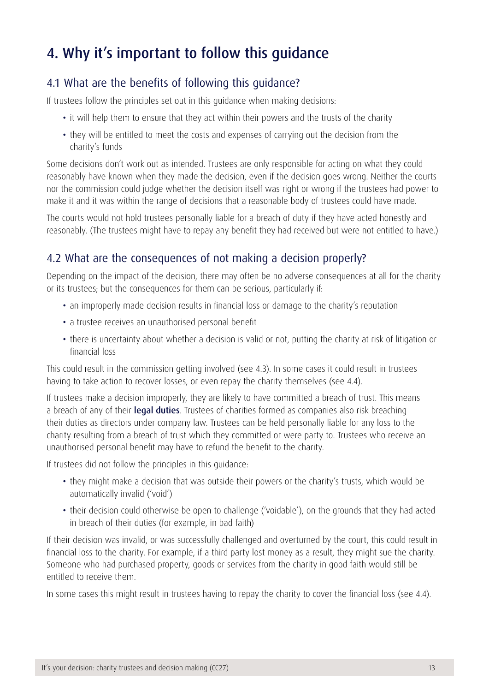## <span id="page-13-0"></span>4. Why it's important to follow this guidance

#### 4.1 What are the benefits of following this guidance?

If trustees follow the principles set out in this guidance when making decisions:

- it will help them to ensure that they act within their powers and the trusts of the charity
- they will be entitled to meet the costs and expenses of carrying out the decision from the charity's funds

Some decisions don't work out as intended. Trustees are only responsible for acting on what they could reasonably have known when they made the decision, even if the decision goes wrong. Neither the courts nor the commission could judge whether the decision itself was right or wrong if the trustees had power to make it and it was within the range of decisions that a reasonable body of trustees could have made.

The courts would not hold trustees personally liable for a breach of duty if they have acted honestly and reasonably. (The trustees might have to repay any benefit they had received but were not entitled to have.)

#### 4.2 What are the consequences of not making a decision properly?

Depending on the impact of the decision, there may often be no adverse consequences at all for the charity or its trustees; but the consequences for them can be serious, particularly if:

- an improperly made decision results in financial loss or damage to the charity's reputation
- a trustee receives an unauthorised personal benefit
- there is uncertainty about whether a decision is valid or not, putting the charity at risk of litigation or financial loss

This could result in the commission getting involved (see 4.3). In some cases it could result in trustees having to take action to recover losses, or even repay the charity themselves (see 4.4).

If trustees make a decision improperly, they are likely to have committed a breach of trust. This means a breach of any of their [legal duties](https://www.gov.uk/government/publications/the-essential-trustee-what-you-need-to-know-cc3). Trustees of charities formed as companies also risk breaching their duties as directors under company law. Trustees can be held personally liable for any loss to the charity resulting from a breach of trust which they committed or were party to. Trustees who receive an unauthorised personal benefit may have to refund the benefit to the charity.

If trustees did not follow the principles in this guidance:

- they might make a decision that was outside their powers or the charity's trusts, which would be automatically invalid ('void')
- their decision could otherwise be open to challenge ('voidable'), on the grounds that they had acted in breach of their duties (for example, in bad faith)

If their decision was invalid, or was successfully challenged and overturned by the court, this could result in financial loss to the charity. For example, if a third party lost money as a result, they might sue the charity. Someone who had purchased property, goods or services from the charity in good faith would still be entitled to receive them.

In some cases this might result in trustees having to repay the charity to cover the financial loss (see 4.4).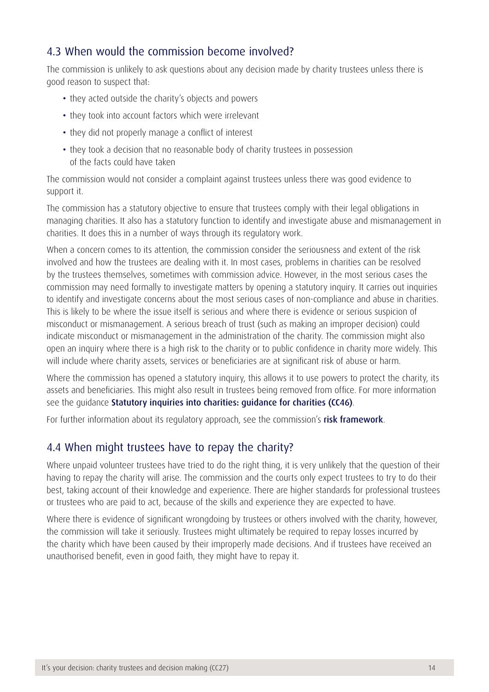#### 4.3 When would the commission become involved?

The commission is unlikely to ask questions about any decision made by charity trustees unless there is good reason to suspect that:

- they acted outside the charity's objects and powers
- they took into account factors which were irrelevant
- they did not properly manage a conflict of interest
- they took a decision that no reasonable body of charity trustees in possession of the facts could have taken

The commission would not consider a complaint against trustees unless there was good evidence to support it.

The commission has a statutory objective to ensure that trustees comply with their legal obligations in managing charities. It also has a statutory function to identify and investigate abuse and mismanagement in charities. It does this in a number of ways through its regulatory work.

When a concern comes to its attention, the commission consider the seriousness and extent of the risk involved and how the trustees are dealing with it. In most cases, problems in charities can be resolved by the trustees themselves, sometimes with commission advice. However, in the most serious cases the commission may need formally to investigate matters by opening a statutory inquiry. It carries out inquiries to identify and investigate concerns about the most serious cases of non-compliance and abuse in charities. This is likely to be where the issue itself is serious and where there is evidence or serious suspicion of misconduct or mismanagement. A serious breach of trust (such as making an improper decision) could indicate misconduct or mismanagement in the administration of the charity. The commission might also open an inquiry where there is a high risk to the charity or to public confidence in charity more widely. This will include where charity assets, services or beneficiaries are at significant risk of abuse or harm.

Where the commission has opened a statutory inquiry, this allows it to use powers to protect the charity, its assets and beneficiaries. This might also result in trustees being removed from office. For more information see the guidance [Statutory inquiries into charities: guidance for charities \(CC46\)](https://www.gov.uk/government/publications/statutory-inquiries-into-charities-guidance-for-charities-cc46).

For further information about its regulatory approach, see the commission's [risk framework](https://www.gov.uk/government/publications/risk-framework-charity-commission).

#### 4.4 When might trustees have to repay the charity?

Where unpaid volunteer trustees have tried to do the right thing, it is very unlikely that the question of their having to repay the charity will arise. The commission and the courts only expect trustees to try to do their best, taking account of their knowledge and experience. There are higher standards for professional trustees or trustees who are paid to act, because of the skills and experience they are expected to have.

Where there is evidence of significant wrongdoing by trustees or others involved with the charity, however, the commission will take it seriously. Trustees might ultimately be required to repay losses incurred by the charity which have been caused by their improperly made decisions. And if trustees have received an unauthorised benefit, even in good faith, they might have to repay it.